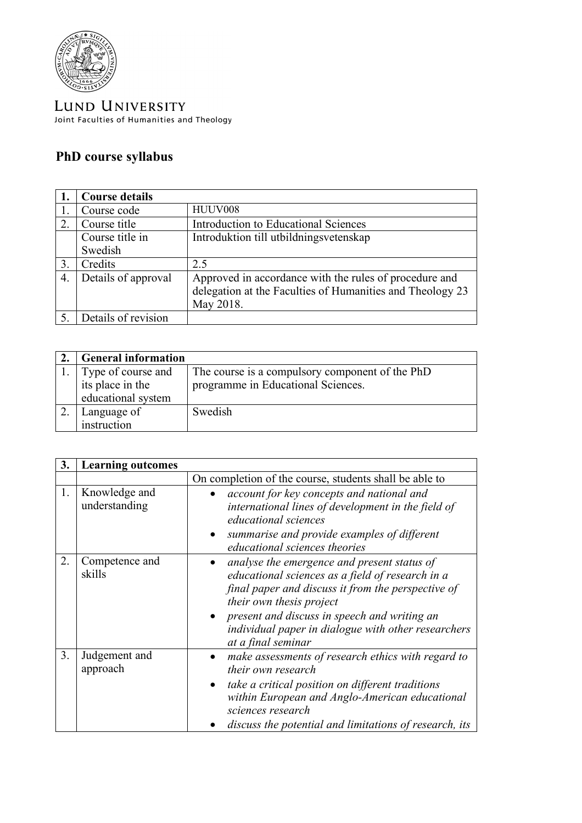

LUND UNIVERSITY Joint Faculties of Humanities and Theology

## **PhD course syllabus**

|                  | <b>Course details</b> |                                                                                                                                  |
|------------------|-----------------------|----------------------------------------------------------------------------------------------------------------------------------|
|                  | Course code           | HUUV008                                                                                                                          |
| 2                | Course title          | <b>Introduction to Educational Sciences</b>                                                                                      |
|                  | Course title in       | Introduktion till utbildningsvetenskap                                                                                           |
|                  | Swedish               |                                                                                                                                  |
| 3 <sub>1</sub>   | Credits               | 2.5                                                                                                                              |
| $\overline{4}$ . | Details of approval   | Approved in accordance with the rules of procedure and<br>delegation at the Faculties of Humanities and Theology 23<br>May 2018. |
|                  | Details of revision   |                                                                                                                                  |

| <b>General information</b> |                                                 |
|----------------------------|-------------------------------------------------|
| Type of course and         | The course is a compulsory component of the PhD |
| its place in the           | programme in Educational Sciences.              |
| educational system         |                                                 |
| Language of                | Swedish                                         |
| instruction                |                                                 |

| 3. | <b>Learning outcomes</b>       |                                                                                                                                                                                                                                                                                                                |
|----|--------------------------------|----------------------------------------------------------------------------------------------------------------------------------------------------------------------------------------------------------------------------------------------------------------------------------------------------------------|
|    |                                | On completion of the course, students shall be able to                                                                                                                                                                                                                                                         |
| 1. | Knowledge and<br>understanding | account for key concepts and national and<br>international lines of development in the field of<br>educational sciences<br>summarise and provide examples of different<br>educational sciences theories                                                                                                        |
| 2. | Competence and<br>skills       | analyse the emergence and present status of<br>educational sciences as a field of research in a<br>final paper and discuss it from the perspective of<br>their own thesis project<br>present and discuss in speech and writing an<br>individual paper in dialogue with other researchers<br>at a final seminar |
| 3. | Judgement and<br>approach      | make assessments of research ethics with regard to<br>their own research<br>take a critical position on different traditions<br>$\bullet$<br>within European and Anglo-American educational<br>sciences research<br>discuss the potential and limitations of research, its                                     |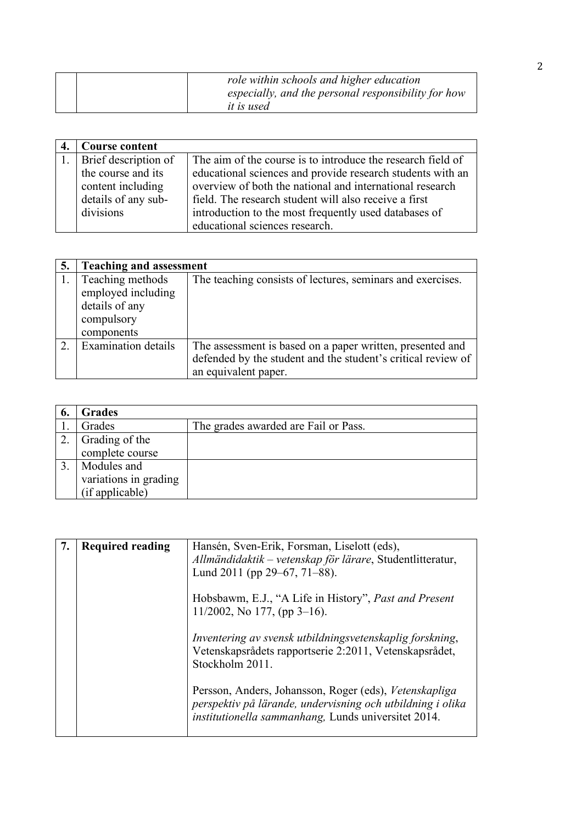|  | role within schools and higher education<br>especially, and the personal responsibility for how<br><i>it is used</i> |
|--|----------------------------------------------------------------------------------------------------------------------|
|  |                                                                                                                      |

| <b>Course content</b>   |                                                             |
|-------------------------|-------------------------------------------------------------|
| 1. Brief description of | The aim of the course is to introduce the research field of |
| the course and its      | educational sciences and provide research students with an  |
| content including       | overview of both the national and international research    |
| details of any sub-     | field. The research student will also receive a first       |
| divisions               | introduction to the most frequently used databases of       |
|                         | educational sciences research.                              |

| 5. | <b>Teaching and assessment</b>                                                       |                                                                                                                                                   |
|----|--------------------------------------------------------------------------------------|---------------------------------------------------------------------------------------------------------------------------------------------------|
|    | Teaching methods<br>employed including<br>details of any<br>compulsory<br>components | The teaching consists of lectures, seminars and exercises.                                                                                        |
|    | <b>Examination details</b>                                                           | The assessment is based on a paper written, presented and<br>defended by the student and the student's critical review of<br>an equivalent paper. |

| <b>Grades</b>         |                                      |
|-----------------------|--------------------------------------|
| Grades                | The grades awarded are Fail or Pass. |
| Grading of the        |                                      |
| complete course       |                                      |
| Modules and           |                                      |
| variations in grading |                                      |
| (if applicable)       |                                      |

| 7. | <b>Required reading</b> | Hansén, Sven-Erik, Forsman, Liselott (eds),<br>Allmändidaktik – vetenskap för lärare, Studentlitteratur,<br>Lund 2011 (pp 29–67, 71–88).                                            |
|----|-------------------------|-------------------------------------------------------------------------------------------------------------------------------------------------------------------------------------|
|    |                         | Hobsbawm, E.J., "A Life in History", Past and Present<br>$11/2002$ , No 177, (pp 3-16).                                                                                             |
|    |                         | Inventering av svensk utbildningsvetenskaplig forskning,<br>Vetenskapsrådets rapportserie 2:2011, Vetenskapsrådet,<br>Stockholm 2011.                                               |
|    |                         | Persson, Anders, Johansson, Roger (eds), Vetenskapliga<br>perspektiv på lärande, undervisning och utbildning i olika<br><i>institutionella sammanhang</i> , Lunds universitet 2014. |